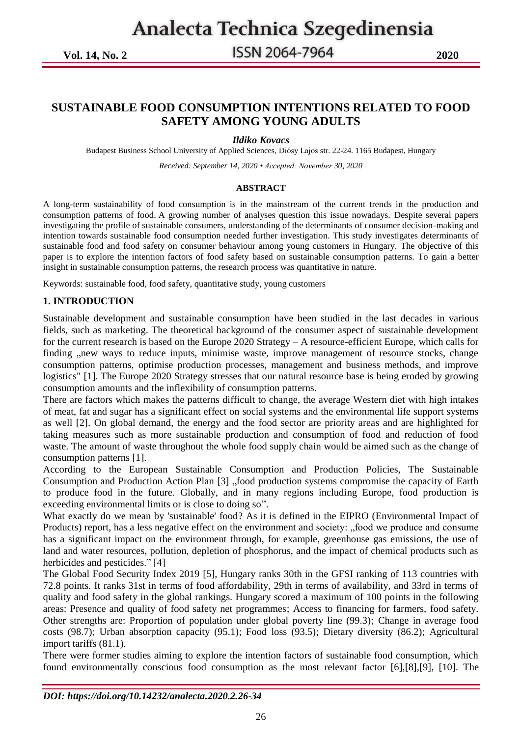**Vol. 14, No. 2 2020**

### **SUSTAINABLE FOOD CONSUMPTION INTENTIONS RELATED TO FOOD SAFETY AMONG YOUNG ADULTS**

#### *Ildiko Kovacs*

Budapest Business School University of Applied Sciences, Diósy Lajos str. 22-24. 1165 Budapest, Hungary

*Received: September 14, 2020 • Accepted: November 30, 2020*

#### **ABSTRACT**

A long-term sustainability of food consumption is in the mainstream of the current trends in the production and consumption patterns of food. A growing number of analyses question this issue nowadays. Despite several papers investigating the profile of sustainable consumers, understanding of the determinants of consumer decision-making and intention towards sustainable food consumption needed further investigation. This study investigates determinants of sustainable food and food safety on consumer behaviour among young customers in Hungary. The objective of this paper is to explore the intention factors of food safety based on sustainable consumption patterns. To gain a better insight in sustainable consumption patterns, the research process was quantitative in nature.

Keywords: sustainable food, food safety, quantitative study, young customers

#### **1. INTRODUCTION**

Sustainable development and sustainable consumption have been studied in the last decades in various fields, such as marketing. The theoretical background of the consumer aspect of sustainable development for the current research is based on the Europe 2020 Strategy – A resource-efficient Europe, which calls for finding , new ways to reduce inputs, minimise waste, improve management of resource stocks, change consumption patterns, optimise production processes, management and business methods, and improve logistics" [1]. The Europe 2020 Strategy stresses that our natural resource base is being eroded by growing consumption amounts and the inflexibility of consumption patterns.

There are factors which makes the patterns difficult to change, the average Western diet with high intakes of meat, fat and sugar has a significant effect on social systems and the environmental life support systems as well [2]. On global demand, the energy and the food sector are priority areas and are highlighted for taking measures such as more sustainable production and consumption of food and reduction of food waste. The amount of waste throughout the whole food supply chain would be aimed such as the change of consumption patterns [1].

According to the European Sustainable Consumption and Production Policies, The Sustainable Consumption and Production Action Plan [3] "food production systems compromise the capacity of Earth to produce food in the future. Globally, and in many regions including Europe, food production is exceeding environmental limits or is close to doing so".

What exactly do we mean by 'sustainable' food? As it is defined in the EIPRO (Environmental Impact of Products) report, has a less negative effect on the environment and society: "food we produce and consume has a significant impact on the environment through, for example, greenhouse gas emissions, the use of land and water resources, pollution, depletion of phosphorus, and the impact of chemical products such as herbicides and pesticides." [4]

The Global Food Security Index 2019 [5], Hungary ranks 30th in the GFSI ranking of 113 countries with 72.8 points. It ranks 31st in terms of food affordability, 29th in terms of availability, and 33rd in terms of quality and food safety in the global rankings. Hungary scored a maximum of 100 points in the following areas: Presence and quality of food safety net programmes; Access to financing for farmers, food safety. Other strengths are: Proportion of population under global poverty line (99.3); Change in average food costs (98.7); Urban absorption capacity (95.1); Food loss (93.5); Dietary diversity (86.2); Agricultural import tariffs (81.1).

There were former studies aiming to explore the intention factors of sustainable food consumption, which found environmentally conscious food consumption as the most relevant factor [6],[8],[9], [10]. The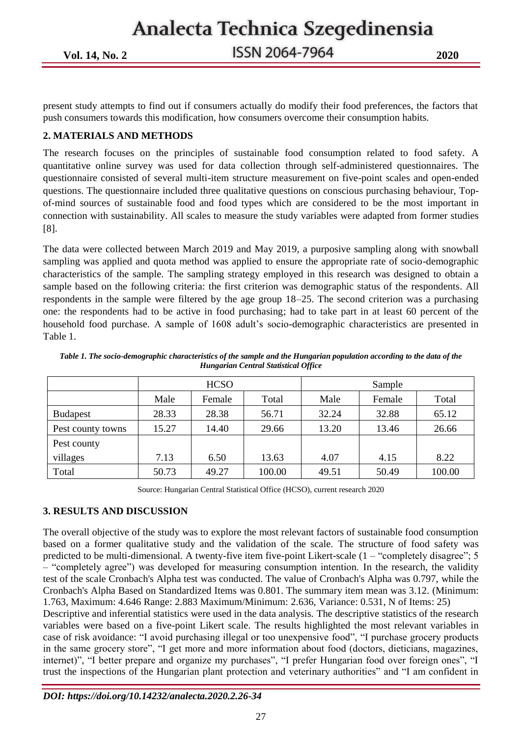Analecta Technica Szegedinensia **Vol. 14, No. 2 2020**

present study attempts to find out if consumers actually do modify their food preferences, the factors that push consumers towards this modification, how consumers overcome their consumption habits.

### **2. MATERIALS AND METHODS**

The research focuses on the principles of sustainable food consumption related to food safety. A quantitative online survey was used for data collection through self-administered questionnaires. The questionnaire consisted of several multi-item structure measurement on five-point scales and open-ended questions. The questionnaire included three qualitative questions on conscious purchasing behaviour, Topof-mind sources of sustainable food and food types which are considered to be the most important in connection with sustainability. All scales to measure the study variables were adapted from former studies [8].

The data were collected between March 2019 and May 2019, a purposive sampling along with snowball sampling was applied and quota method was applied to ensure the appropriate rate of socio-demographic characteristics of the sample. The sampling strategy employed in this research was designed to obtain a sample based on the following criteria: the first criterion was demographic status of the respondents. All respondents in the sample were filtered by the age group 18–25. The second criterion was a purchasing one: the respondents had to be active in food purchasing; had to take part in at least 60 percent of the household food purchase. A sample of 1608 adult's socio-demographic characteristics are presented in Table 1.

|                   | <b>HCSO</b><br>Sample |        |        |       |        |        |
|-------------------|-----------------------|--------|--------|-------|--------|--------|
|                   | Male                  | Female | Total  | Male  | Female | Total  |
| <b>Budapest</b>   | 28.33                 | 28.38  | 56.71  | 32.24 | 32.88  | 65.12  |
| Pest county towns | 15.27                 | 14.40  | 29.66  | 13.20 | 13.46  | 26.66  |
| Pest county       |                       |        |        |       |        |        |
| villages          | 7.13                  | 6.50   | 13.63  | 4.07  | 4.15   | 8.22   |
| Total             | 50.73                 | 49.27  | 100.00 | 49.51 | 50.49  | 100.00 |

*Table 1. The socio-demographic characteristics of the sample and the Hungarian population according to the data of the Hungarian Central Statistical Office*

Source: Hungarian Central Statistical Office (HCSO), current research 2020

### **3. RESULTS AND DISCUSSION**

The overall objective of the study was to explore the most relevant factors of sustainable food consumption based on a former qualitative study and the validation of the scale. The structure of food safety was predicted to be multi-dimensional. A twenty-five item five-point Likert-scale (1 – "completely disagree"; 5 – "completely agree") was developed for measuring consumption intention. In the research, the validity test of the scale Cronbach's Alpha test was conducted. The value of Cronbach's Alpha was 0.797, while the Cronbach's Alpha Based on Standardized Items was 0.801. The summary item mean was 3.12. (Minimum: 1.763, Maximum: 4.646 Range: 2.883 Maximum/Minimum: 2.636, Variance: 0.531, N of Items: 25) Descriptive and inferential statistics were used in the data analysis. The descriptive statistics of the research variables were based on a five-point Likert scale. The results highlighted the most relevant variables in case of risk avoidance: "I avoid purchasing illegal or too unexpensive food", "I purchase grocery products in the same grocery store", "I get more and more information about food (doctors, dieticians, magazines, internet)", "I better prepare and organize my purchases", "I prefer Hungarian food over foreign ones", "I trust the inspections of the Hungarian plant protection and veterinary authorities" and "I am confident in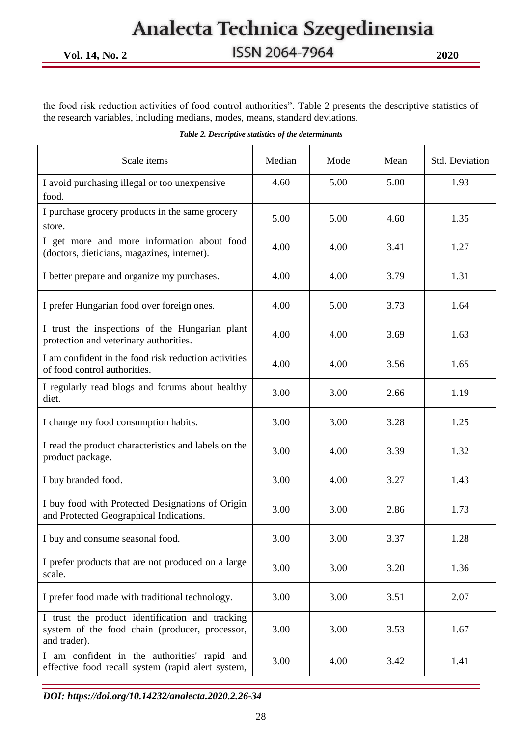the food risk reduction activities of food control authorities". Table 2 presents the descriptive statistics of the research variables, including medians, modes, means, standard deviations.

| Scale items                                                                                                       | Median | Mode | Mean | Std. Deviation |
|-------------------------------------------------------------------------------------------------------------------|--------|------|------|----------------|
| I avoid purchasing illegal or too unexpensive<br>food.                                                            | 4.60   | 5.00 | 5.00 | 1.93           |
| I purchase grocery products in the same grocery<br>store.                                                         | 5.00   | 5.00 | 4.60 | 1.35           |
| I get more and more information about food<br>(doctors, dieticians, magazines, internet).                         | 4.00   | 4.00 | 3.41 | 1.27           |
| I better prepare and organize my purchases.                                                                       | 4.00   | 4.00 | 3.79 | 1.31           |
| I prefer Hungarian food over foreign ones.                                                                        | 4.00   | 5.00 | 3.73 | 1.64           |
| I trust the inspections of the Hungarian plant<br>protection and veterinary authorities.                          | 4.00   | 4.00 | 3.69 | 1.63           |
| I am confident in the food risk reduction activities<br>of food control authorities.                              | 4.00   | 4.00 | 3.56 | 1.65           |
| I regularly read blogs and forums about healthy<br>diet.                                                          | 3.00   | 3.00 | 2.66 | 1.19           |
| I change my food consumption habits.                                                                              | 3.00   | 3.00 | 3.28 | 1.25           |
| I read the product characteristics and labels on the<br>product package.                                          | 3.00   | 4.00 | 3.39 | 1.32           |
| I buy branded food.                                                                                               | 3.00   | 4.00 | 3.27 | 1.43           |
| I buy food with Protected Designations of Origin<br>and Protected Geographical Indications.                       | 3.00   | 3.00 | 2.86 | 1.73           |
| I buy and consume seasonal food.                                                                                  | 3.00   | 3.00 | 3.37 | 1.28           |
| I prefer products that are not produced on a large<br>scale.                                                      | 3.00   | 3.00 | 3.20 | 1.36           |
| I prefer food made with traditional technology.                                                                   | 3.00   | 3.00 | 3.51 | 2.07           |
| I trust the product identification and tracking<br>system of the food chain (producer, processor,<br>and trader). | 3.00   | 3.00 | 3.53 | 1.67           |
| I am confident in the authorities' rapid and<br>effective food recall system (rapid alert system,                 | 3.00   | 4.00 | 3.42 | 1.41           |

|  |  |  |  | Table 2. Descriptive statistics of the determinants |
|--|--|--|--|-----------------------------------------------------|
|--|--|--|--|-----------------------------------------------------|

*DOI[: https://doi.org/10.14232/analecta.2020.2.26-34](https://doi.org/10.14232/analecta.2020.2.26-34)*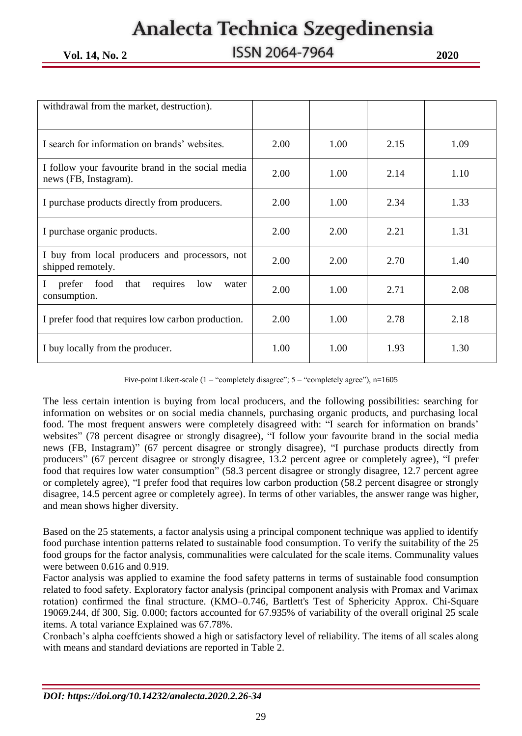**Vol. 14, No. 2 2020**

| withdrawal from the market, destruction).                                  |      |      |      |      |
|----------------------------------------------------------------------------|------|------|------|------|
|                                                                            |      |      |      |      |
| I search for information on brands' websites.                              | 2.00 | 1.00 | 2.15 | 1.09 |
| I follow your favourite brand in the social media<br>news (FB, Instagram). | 2.00 | 1.00 | 2.14 | 1.10 |
| I purchase products directly from producers.                               | 2.00 | 1.00 | 2.34 | 1.33 |
| I purchase organic products.                                               | 2.00 | 2.00 | 2.21 | 1.31 |
| I buy from local producers and processors, not<br>shipped remotely.        | 2.00 | 2.00 | 2.70 | 1.40 |
| prefer food<br>L<br>that<br>requires<br>low<br>water<br>consumption.       | 2.00 | 1.00 | 2.71 | 2.08 |
| I prefer food that requires low carbon production.                         | 2.00 | 1.00 | 2.78 | 2.18 |
| I buy locally from the producer.                                           | 1.00 | 1.00 | 1.93 | 1.30 |

Five-point Likert-scale (1 – "completely disagree"; 5 – "completely agree"), n=1605

The less certain intention is buying from local producers, and the following possibilities: searching for information on websites or on social media channels, purchasing organic products, and purchasing local food. The most frequent answers were completely disagreed with: "I search for information on brands' websites" (78 percent disagree or strongly disagree), "I follow your favourite brand in the social media news (FB, Instagram)" (67 percent disagree or strongly disagree), "I purchase products directly from producers" (67 percent disagree or strongly disagree, 13.2 percent agree or completely agree), "I prefer food that requires low water consumption" (58.3 percent disagree or strongly disagree, 12.7 percent agree or completely agree), "I prefer food that requires low carbon production (58.2 percent disagree or strongly disagree, 14.5 percent agree or completely agree). In terms of other variables, the answer range was higher, and mean shows higher diversity.

Based on the 25 statements, a factor analysis using a principal component technique was applied to identify food purchase intention patterns related to sustainable food consumption. To verify the suitability of the 25 food groups for the factor analysis, communalities were calculated for the scale items. Communality values were between 0.616 and 0.919.

Factor analysis was applied to examine the food safety patterns in terms of sustainable food consumption related to food safety. Exploratory factor analysis (principal component analysis with Promax and Varimax rotation) confirmed the final structure. (KMO–0.746, Bartlett's Test of Sphericity Approx. Chi-Square 19069.244, df 300, Sig. 0.000; factors accounted for 67.935% of variability of the overall original 25 scale items. A total variance Explained was 67.78%.

Cronbach's alpha coeffcients showed a high or satisfactory level of reliability. The items of all scales along with means and standard deviations are reported in Table 2.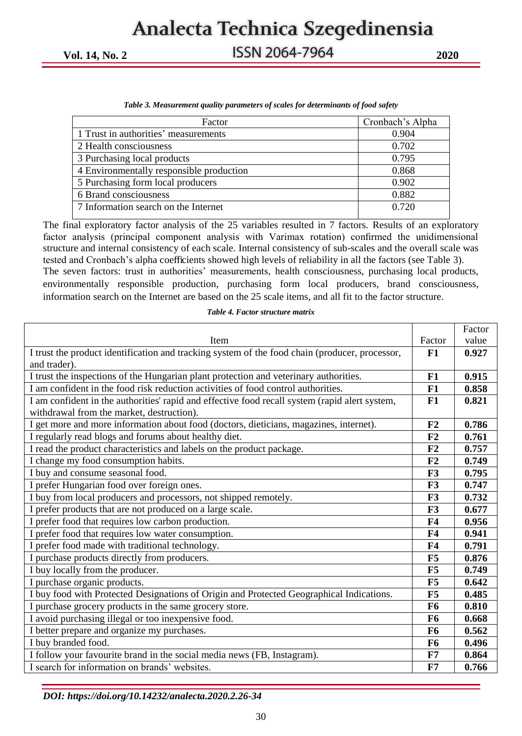**Vol. 14, No. 2 2020**

| Cronbach's Alpha |
|------------------|
| 0.904            |
| 0.702            |
| 0.795            |
| 0.868            |
| 0.902            |
| 0.882            |
| 0.720            |
|                  |

|  |  | Table 3. Measurement quality parameters of scales for determinants of food safety |
|--|--|-----------------------------------------------------------------------------------|
|  |  |                                                                                   |

The final exploratory factor analysis of the 25 variables resulted in 7 factors. Results of an exploratory factor analysis (principal component analysis with Varimax rotation) confirmed the unidimensional structure and internal consistency of each scale. Internal consistency of sub-scales and the overall scale was tested and Cronbach's alpha coefficients showed high levels of reliability in all the factors (see Table 3). The seven factors: trust in authorities' measurements, health consciousness, purchasing local products, environmentally responsible production, purchasing form local producers, brand consciousness, information search on the Internet are based on the 25 scale items, and all fit to the factor structure.

|  |  |  |  |  | Table 4. Factor structure matrix |  |
|--|--|--|--|--|----------------------------------|--|
|--|--|--|--|--|----------------------------------|--|

|                                                                                                |                | Factor |
|------------------------------------------------------------------------------------------------|----------------|--------|
| Item                                                                                           | Factor         | value  |
| I trust the product identification and tracking system of the food chain (producer, processor, | F1             | 0.927  |
| and trader).                                                                                   |                |        |
| I trust the inspections of the Hungarian plant protection and veterinary authorities.          | F1             | 0.915  |
| I am confident in the food risk reduction activities of food control authorities.              | F1             | 0.858  |
| I am confident in the authorities' rapid and effective food recall system (rapid alert system, | F1             | 0.821  |
| withdrawal from the market, destruction).                                                      |                |        |
| I get more and more information about food (doctors, dieticians, magazines, internet).         | F2             | 0.786  |
| I regularly read blogs and forums about healthy diet.                                          | F <sub>2</sub> | 0.761  |
| I read the product characteristics and labels on the product package.                          | F2             | 0.757  |
| I change my food consumption habits.                                                           | F <sub>2</sub> | 0.749  |
| I buy and consume seasonal food.                                                               | F3             | 0.795  |
| I prefer Hungarian food over foreign ones.                                                     | F <sub>3</sub> | 0.747  |
| I buy from local producers and processors, not shipped remotely.                               | F <sub>3</sub> | 0.732  |
| I prefer products that are not produced on a large scale.                                      | F3             | 0.677  |
| I prefer food that requires low carbon production.                                             | <b>F4</b>      | 0.956  |
| I prefer food that requires low water consumption.                                             | F <sub>4</sub> | 0.941  |
| I prefer food made with traditional technology.                                                | <b>F4</b>      | 0.791  |
| I purchase products directly from producers.                                                   | F5             | 0.876  |
| I buy locally from the producer.                                                               | F5             | 0.749  |
| I purchase organic products.                                                                   | F5             | 0.642  |
| I buy food with Protected Designations of Origin and Protected Geographical Indications.       | F5             | 0.485  |
| I purchase grocery products in the same grocery store.                                         | F6             | 0.810  |
| I avoid purchasing illegal or too inexpensive food.                                            | F6             | 0.668  |
| I better prepare and organize my purchases.                                                    | <b>F6</b>      | 0.562  |
| I buy branded food.                                                                            | F6             | 0.496  |
| I follow your favourite brand in the social media news (FB, Instagram).                        | F7             | 0.864  |
| I search for information on brands' websites.                                                  | F7             | 0.766  |

*DOI[: https://doi.org/10.14232/analecta.2020.2.26-34](https://doi.org/10.14232/analecta.2020.2.26-34)*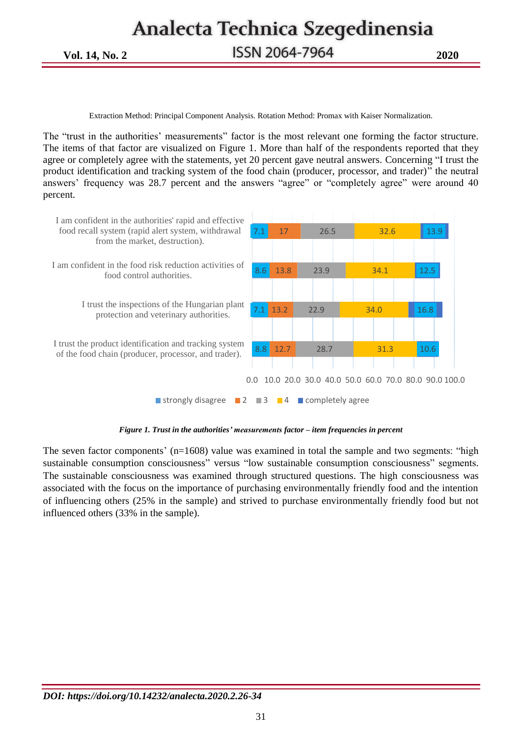Analecta Technica Szegedinensia **Vol. 14, No. 2 2020**

Extraction Method: Principal Component Analysis. Rotation Method: Promax with Kaiser Normalization.

The "trust in the authorities' measurements" factor is the most relevant one forming the factor structure. The items of that factor are visualized on Figure 1. More than half of the respondents reported that they agree or completely agree with the statements, yet 20 percent gave neutral answers. Concerning "I trust the product identification and tracking system of the food chain (producer, processor, and trader)" the neutral answers' frequency was 28.7 percent and the answers "agree" or "completely agree" were around 40 percent.



*Figure 1. Trust in the authorities' measurements factor – item frequencies in percent*

The seven factor components' (n=1608) value was examined in total the sample and two segments: "high sustainable consumption consciousness" versus "low sustainable consumption consciousness" segments. The sustainable consciousness was examined through structured questions. The high consciousness was associated with the focus on the importance of purchasing environmentally friendly food and the intention of influencing others (25% in the sample) and strived to purchase environmentally friendly food but not influenced others (33% in the sample).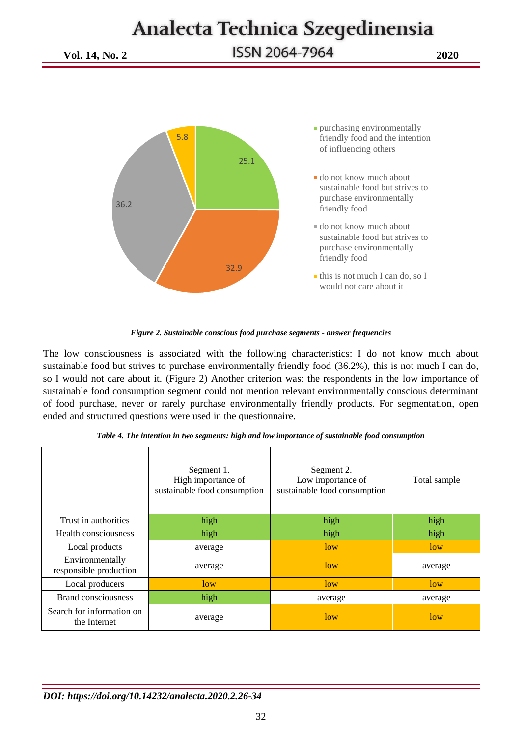**Vol. 14, No. 2 2020**



*Figure 2. Sustainable conscious food purchase segments - answer frequencies*

The low consciousness is associated with the following characteristics: I do not know much about sustainable food but strives to purchase environmentally friendly food (36.2%), this is not much I can do, so I would not care about it. (Figure 2) Another criterion was: the respondents in the low importance of sustainable food consumption segment could not mention relevant environmentally conscious determinant of food purchase, never or rarely purchase environmentally friendly products. For segmentation, open ended and structured questions were used in the questionnaire.

|                                           | Segment 1.<br>High importance of<br>sustainable food consumption | Segment 2.<br>Low importance of<br>sustainable food consumption | Total sample |
|-------------------------------------------|------------------------------------------------------------------|-----------------------------------------------------------------|--------------|
| Trust in authorities                      | high                                                             | high                                                            | high         |
| Health consciousness                      | high                                                             | high                                                            | high         |
| Local products                            | average                                                          | low                                                             | low          |
| Environmentally<br>responsible production | average                                                          | low                                                             | average      |
| Local producers                           | low                                                              | low                                                             | low          |
| <b>Brand consciousness</b>                | high                                                             | average                                                         | average      |
| Search for information on<br>the Internet | average                                                          | low                                                             | low          |

*Table 4. The intention in two segments: high and low importance of sustainable food consumption*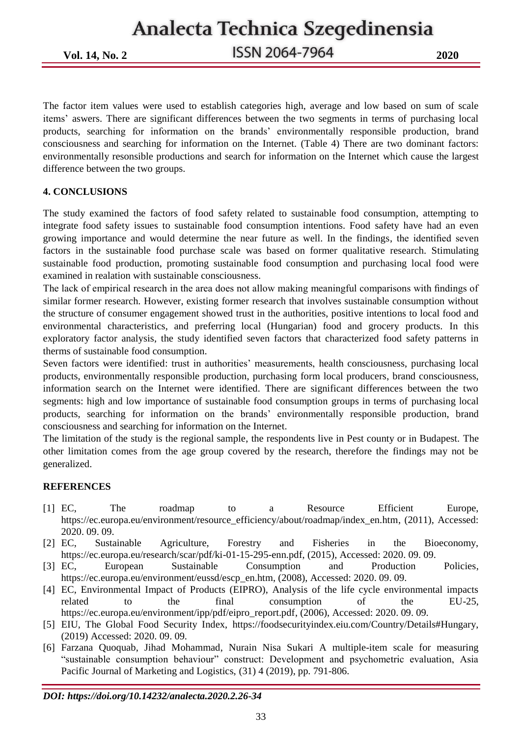**Vol. 14, No. 2 2020**

The factor item values were used to establish categories high, average and low based on sum of scale items' aswers. There are significant differences between the two segments in terms of purchasing local products, searching for information on the brands' environmentally responsible production, brand consciousness and searching for information on the Internet. (Table 4) There are two dominant factors: environmentally resonsible productions and search for information on the Internet which cause the largest difference between the two groups.

### **4. CONCLUSIONS**

The study examined the factors of food safety related to sustainable food consumption, attempting to integrate food safety issues to sustainable food consumption intentions. Food safety have had an even growing importance and would determine the near future as well. In the findings, the identified seven factors in the sustainable food purchase scale was based on former qualitative research. Stimulating sustainable food production, promoting sustainable food consumption and purchasing local food were examined in realation with sustainable consciousness.

The lack of empirical research in the area does not allow making meaningful comparisons with findings of similar former research. However, existing former research that involves sustainable consumption without the structure of consumer engagement showed trust in the authorities, positive intentions to local food and environmental characteristics, and preferring local (Hungarian) food and grocery products. In this exploratory factor analysis, the study identified seven factors that characterized food safety patterns in therms of sustainable food consumption.

Seven factors were identified: trust in authorities' measurements, health consciousness, purchasing local products, environmentally responsible production, purchasing form local producers, brand consciousness, information search on the Internet were identified. There are significant differences between the two segments: high and low importance of sustainable food consumption groups in terms of purchasing local products, searching for information on the brands' environmentally responsible production, brand consciousness and searching for information on the Internet.

The limitation of the study is the regional sample, the respondents live in Pest county or in Budapest. The other limitation comes from the age group covered by the research, therefore the findings may not be generalized.

### **REFERENCES**

- [1] EC, The roadmap to a Resource Efficient Europe, [https://ec.europa.eu/environment/resource\\_efficiency/about/roadmap/index\\_en.htm,](https://ec.europa.eu/environment/resource_efficiency/about/roadmap/index_en.htm) (2011), Accessed: 2020. 09. 09.
- [2] EC, Sustainable Agriculture, Forestry and Fisheries in the Bioeconomy, [https://ec.europa.eu/research/scar/pdf/ki-01-15-295-enn.pdf,](https://ec.europa.eu/research/scar/pdf/ki-01-15-295-enn.pdf) (2015), Accessed: 2020. 09. 09.
- [3] EC, European Sustainable Consumption and Production Policies, [https://ec.europa.eu/environment/eussd/escp\\_en.htm,](https://ec.europa.eu/environment/eussd/escp_en.htm) (2008), Accessed: 2020. 09. 09.
- [4] EC, Environmental Impact of Products (EIPRO), Analysis of the life cycle environmental impacts related to the final consumption of the EU-25, [https://ec.europa.eu/environment/ipp/pdf/eipro\\_report.pdf,](https://ec.europa.eu/environment/ipp/pdf/eipro_report.pdf) (2006), Accessed: 2020. 09. 09.
- [5] EIU, The Global Food Security Index, https://foodsecurityindex.eiu.com/Country/Details#Hungary, (2019) Accessed: 2020. 09. 09.
- [6] [Farzana Quoquab,](https://www.semanticscholar.org/author/Farzana-Quoquab/9244038) [Jihad Mohammad,](https://www.semanticscholar.org/author/Jihad-Mohammad/143928176) [Nurain Nisa Sukari](https://www.semanticscholar.org/author/Nurain-Nisa-Sukari/121075971) A multiple-item scale for measuring "sustainable consumption behaviour" construct: Development and psychometric evaluation, Asia Pacific Journal of Marketing and Logistics, (31) 4 (2019), pp. 791-806.